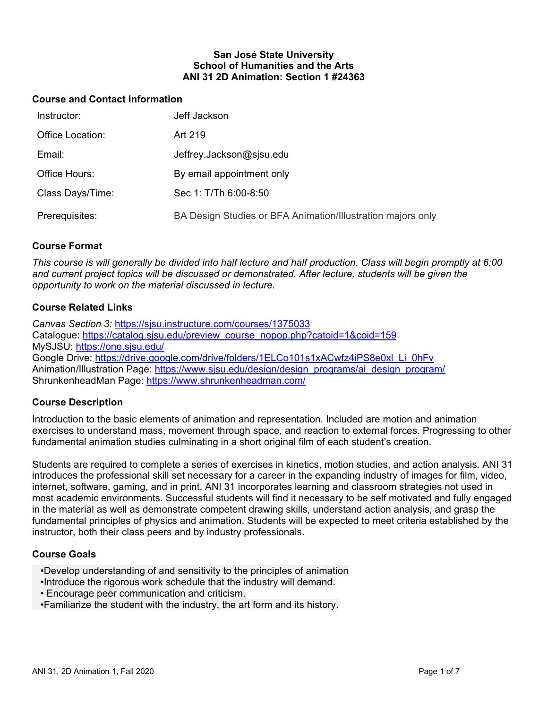### **San José State University School of Humanities and the Arts ANI 31 2D Animation: Section 1 #24363**

### **Course and Contact Information**

| Instructor:             | Jeff Jackson                                                |
|-------------------------|-------------------------------------------------------------|
| <b>Office Location:</b> | Art 219                                                     |
| Email:                  | Jeffrey.Jackson@sjsu.edu                                    |
| Office Hours:           | By email appointment only                                   |
| Class Days/Time:        | Sec 1: T/Th 6:00-8:50                                       |
| Prerequisites:          | BA Design Studies or BFA Animation/Illustration majors only |

## **Course Format**

*This course is will generally be divided into half lecture and half production. Class will begin promptly at 6:00 and current project topics will be discussed or demonstrated. After lecture, students will be given the opportunity to work on the material discussed in lecture.*

## **Course Related Links**

*Canvas Section 3:* <https://sjsu.instructure.com/courses/1375033> Catalogue: [https://catalog.sjsu.edu/preview\\_course\\_nopop.php?catoid=1&coid=159](https://catalog.sjsu.edu/preview_course_nopop.php?catoid=1&coid=159) MySJSU:<https://one.sjsu.edu/> Google Drive: [https://drive.google.com/drive/folders/1ELCo101s1xACwfz4iPS8e0xl\\_Li\\_0hFv](https://drive.google.com/drive/folders/1ELCo101s1xACwfz4iPS8e0xl_Li_0hFv) Animation/Illustration Page: [https://www.sjsu.edu/design/design\\_programs/ai\\_design\\_program/](https://www.sjsu.edu/design/design_programs/ai_design_program/) ShrunkenheadMan Page:<https://www.shrunkenheadman.com/>

## **Course Description**

Introduction to the basic elements of animation and representation. Included are motion and animation exercises to understand mass, movement through space, and reaction to external forces. Progressing to other fundamental animation studies culminating in a short original film of each student's creation.

Students are required to complete a series of exercises in kinetics, motion studies, and action analysis. ANI 31 introduces the professional skill set necessary for a career in the expanding industry of images for film, video, internet, software, gaming, and in print. ANI 31 incorporates learning and classroom strategies not used in most academic environments. Successful students will find it necessary to be self motivated and fully engaged in the material as well as demonstrate competent drawing skills, understand action analysis, and grasp the fundamental principles of physics and animation. Students will be expected to meet criteria established by the instructor, both their class peers and by industry professionals.

#### **Course Goals**

- •Develop understanding of and sensitivity to the principles of animation
- •Introduce the rigorous work schedule that the industry will demand.
- Encourage peer communication and criticism.
- •Familiarize the student with the industry, the art form and its history.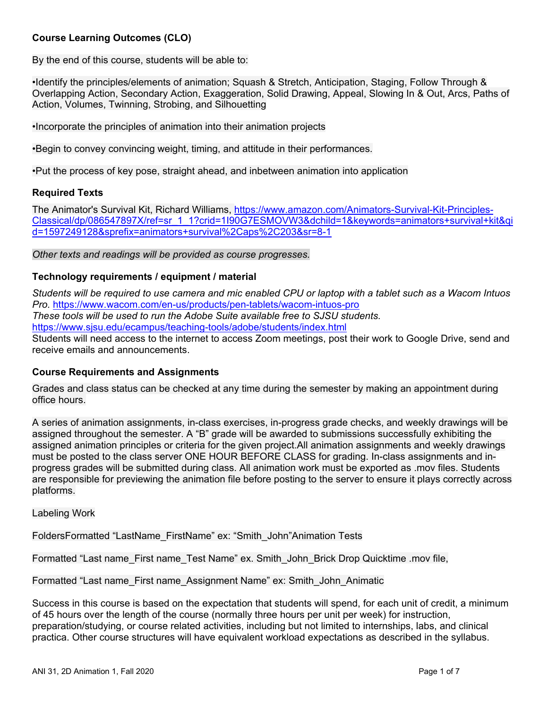## **Course Learning Outcomes (CLO)**

By the end of this course, students will be able to:

•Identify the principles/elements of animation; Squash & Stretch, Anticipation, Staging, Follow Through & Overlapping Action, Secondary Action, Exaggeration, Solid Drawing, Appeal, Slowing In & Out, Arcs, Paths of Action, Volumes, Twinning, Strobing, and Silhouetting

•Incorporate the principles of animation into their animation projects

•Begin to convey convincing weight, timing, and attitude in their performances.

•Put the process of key pose, straight ahead, and inbetween animation into application

#### **Required Texts**

The Animator's Survival Kit, Richard Williams, [https://www.amazon.com/Animators-Survival-Kit-Principles-](https://www.amazon.com/Animators-Survival-Kit-Principles-Classical/dp/086547897X/ref=sr_1_1?crid=1I90G7ESMOVW3&dchild=1&keywords=animators+survival+kit&qid=1597249128&sprefix=animators+survival%2Caps%2C203&sr=8-1)[Classical/dp/086547897X/ref=sr\\_1\\_1?crid=1I90G7ESMOVW3&dchild=1&keywords=animators+survival+kit&qi](https://www.amazon.com/Animators-Survival-Kit-Principles-Classical/dp/086547897X/ref=sr_1_1?crid=1I90G7ESMOVW3&dchild=1&keywords=animators+survival+kit&qid=1597249128&sprefix=animators+survival%2Caps%2C203&sr=8-1) [d=1597249128&sprefix=animators+survival%2Caps%2C203&sr=8-1](https://www.amazon.com/Animators-Survival-Kit-Principles-Classical/dp/086547897X/ref=sr_1_1?crid=1I90G7ESMOVW3&dchild=1&keywords=animators+survival+kit&qid=1597249128&sprefix=animators+survival%2Caps%2C203&sr=8-1)

#### *Other texts and readings will be provided as course progresses.*

#### **Technology requirements / equipment / material**

*Students will be required to use camera and mic enabled CPU or laptop with a tablet such as a Wacom Intuos Pro.* <https://www.wacom.com/en-us/products/pen-tablets/wacom-intuos-pro> *These tools will be used to run the Adobe Suite available free to SJSU students.*  <https://www.sjsu.edu/ecampus/teaching-tools/adobe/students/index.html> Students will need access to the internet to access Zoom meetings, post their work to Google Drive, send and receive emails and announcements.

#### **Course Requirements and Assignments**

Grades and class status can be checked at any time during the semester by making an appointment during office hours.

A series of animation assignments, in-class exercises, in-progress grade checks, and weekly drawings will be assigned throughout the semester. A "B" grade will be awarded to submissions successfully exhibiting the assigned animation principles or criteria for the given project.All animation assignments and weekly drawings must be posted to the class server ONE HOUR BEFORE CLASS for grading. In-class assignments and inprogress grades will be submitted during class. All animation work must be exported as .mov files. Students are responsible for previewing the animation file before posting to the server to ensure it plays correctly across platforms.

Labeling Work

FoldersFormatted "LastName\_FirstName" ex: "Smith\_John"Animation Tests

Formatted "Last name\_First name\_Test Name" ex. Smith\_John\_Brick Drop Quicktime .mov file,

Formatted "Last name\_First name\_Assignment Name" ex: Smith\_John\_Animatic

Success in this course is based on the expectation that students will spend, for each unit of credit, a minimum of 45 hours over the length of the course (normally three hours per unit per week) for instruction, preparation/studying, or course related activities, including but not limited to internships, labs, and clinical practica. Other course structures will have equivalent workload expectations as described in the syllabus.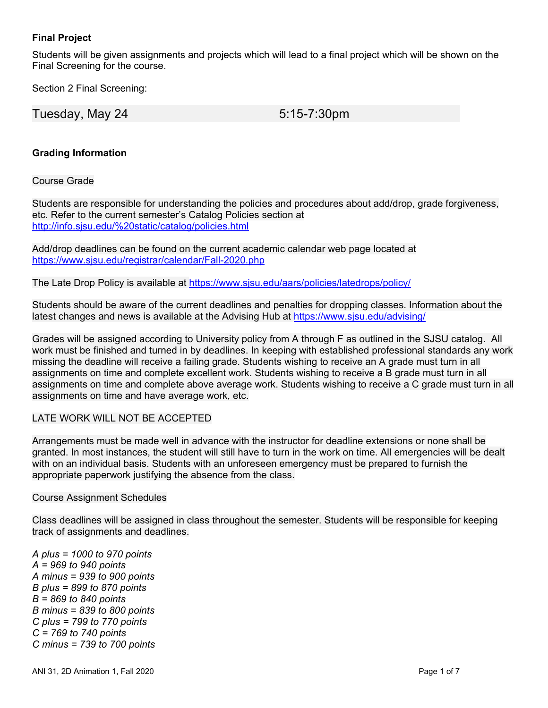## **Final Project**

Students will be given assignments and projects which will lead to a final project which will be shown on the Final Screening for the course.

Section 2 Final Screening:

Tuesday, May 24 5:15-7:30pm

# **Grading Information**

### Course Grade

Students are responsible for understanding the policies and procedures about add/drop, grade forgiveness, etc. Refer to the current semester's Catalog Policies section at <http://info.sjsu.edu/%20static/catalog/policies.html>

Add/drop deadlines can be found on the current academic calendar web page located at <https://www.sjsu.edu/registrar/calendar/Fall-2020.php>

The Late Drop Policy is available at<https://www.sjsu.edu/aars/policies/latedrops/policy/>

Students should be aware of the current deadlines and penalties for dropping classes. Information about the latest changes and news is available at the Advising Hub at<https://www.sjsu.edu/advising/>

Grades will be assigned according to University policy from A through F as outlined in the SJSU catalog. All work must be finished and turned in by deadlines. In keeping with established professional standards any work missing the deadline will receive a failing grade. Students wishing to receive an A grade must turn in all assignments on time and complete excellent work. Students wishing to receive a B grade must turn in all assignments on time and complete above average work. Students wishing to receive a C grade must turn in all assignments on time and have average work, etc.

## LATE WORK WILL NOT BE ACCEPTED

Arrangements must be made well in advance with the instructor for deadline extensions or none shall be granted. In most instances, the student will still have to turn in the work on time. All emergencies will be dealt with on an individual basis. Students with an unforeseen emergency must be prepared to furnish the appropriate paperwork justifying the absence from the class.

#### Course Assignment Schedules

Class deadlines will be assigned in class throughout the semester. Students will be responsible for keeping track of assignments and deadlines.

*A plus = 1000 to 970 points A = 969 to 940 points A minus = 939 to 900 points B plus = 899 to 870 points B = 869 to 840 points B minus = 839 to 800 points C plus = 799 to 770 points C = 769 to 740 points C minus = 739 to 700 points*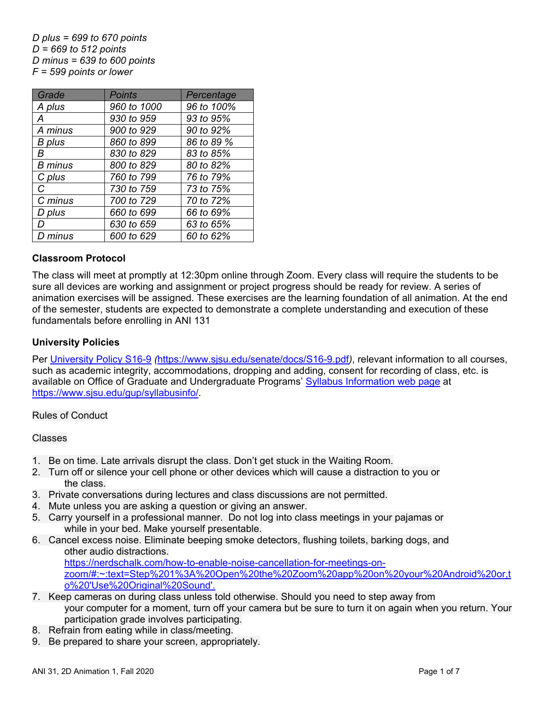*D plus = 699 to 670 points D = 669 to 512 points D minus = 639 to 600 points F = 599 points or lower*

| Grade          | <b>Points</b> | Percentage |
|----------------|---------------|------------|
| A plus         | 960 to 1000   | 96 to 100% |
| A              | 930 to 959    | 93 to 95%  |
| A minus        | 900 to 929    | 90 to 92%  |
| <b>B</b> plus  | 860 to 899    | 86 to 89 % |
| R              | 830 to 829    | 83 to 85%  |
| <b>B</b> minus | 800 to 829    | 80 to 82%  |
| C plus         | 760 to 799    | 76 to 79%  |
| C              | 730 to 759    | 73 to 75%  |
| C minus        | 700 to 729    | 70 to 72%  |
| D plus         | 660 to 699    | 66 to 69%  |
|                | 630 to 659    | 63 to 65%  |
| D minus        | 600 to 629    | 60 to 62%  |

## **Classroom Protocol**

The class will meet at promptly at 12:30pm online through Zoom. Every class will require the students to be sure all devices are working and assignment or project progress should be ready for review. A series of animation exercises will be assigned. These exercises are the learning foundation of all animation. At the end of the semester, students are expected to demonstrate a complete understanding and execution of these fundamentals before enrolling in ANI 131

## **University Policies**

Per [University Policy S16-9](about:blank) *(*<https://www.sjsu.edu/senate/docs/S16-9.pdf>*)*, relevant information to all courses, such as academic integrity, accommodations, dropping and adding, consent for recording of class, etc. is available on Office of Graduate and Undergraduate Programs' [Syllabus Information](about:blank) web page at [https://www.sjsu.edu/gup/syllabusinfo/.](https://www.sjsu.edu/gup/syllabusinfo/)

#### Rules of Conduct

Classes

- 1. Be on time. Late arrivals disrupt the class. Don't get stuck in the Waiting Room.
- 2. Turn off or silence your cell phone or other devices which will cause a distraction to you or the class.
- 3. Private conversations during lectures and class discussions are not permitted.
- 4. Mute unless you are asking a question or giving an answer.
- 5. Carry yourself in a professional manner. Do not log into class meetings in your pajamas or while in your bed. Make yourself presentable.
- 6. Cancel excess noise. Eliminate beeping smoke detectors, flushing toilets, barking dogs, and other audio distractions. [https://nerdschalk.com/how-to-enable-noise-cancellation-for-meetings-on](https://nerdschalk.com/how-to-enable-noise-cancellation-for-meetings-on-zoom/#:%7E:text=Step%201%3A%20Open%20the%20Zoom%20app%20on%20your%20Android%20or,to%20)[zoom/#:~:text=Step%201%3A%20Open%20the%20Zoom%20app%20on%20your%20Android%20or,t](https://nerdschalk.com/how-to-enable-noise-cancellation-for-meetings-on-zoom/#:%7E:text=Step%201%3A%20Open%20the%20Zoom%20app%20on%20your%20Android%20or,to%20) [o%20'Use%20Original%20Sound'.](https://nerdschalk.com/how-to-enable-noise-cancellation-for-meetings-on-zoom/#:%7E:text=Step%201%3A%20Open%20the%20Zoom%20app%20on%20your%20Android%20or,to%20)
- 7. Keep cameras on during class unless told otherwise. Should you need to step away from your computer for a moment, turn off your camera but be sure to turn it on again when you return. Your participation grade involves participating.
- 8. Refrain from eating while in class/meeting.
- 9. Be prepared to share your screen, appropriately.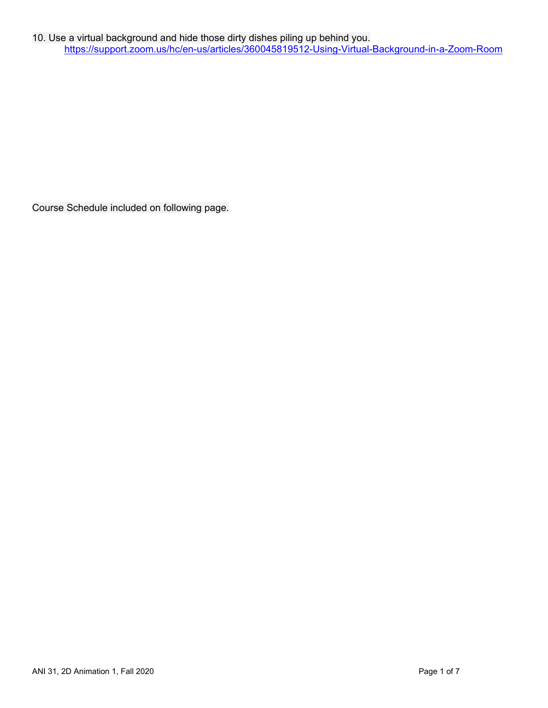Course Schedule included on following page.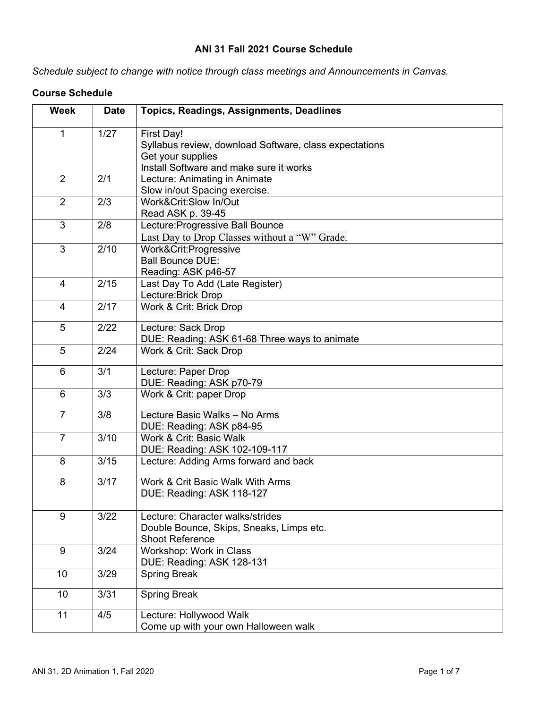# **ANI 31 Fall 2021 Course Schedule**

*Schedule subject to change with notice through class meetings and Announcements in Canvas.*

| <b>Week</b>    | <b>Date</b> | <b>Topics, Readings, Assignments, Deadlines</b>        |
|----------------|-------------|--------------------------------------------------------|
| 1              | 1/27        | First Day!                                             |
|                |             | Syllabus review, download Software, class expectations |
|                |             | Get your supplies                                      |
|                |             | Install Software and make sure it works                |
| 2              | 2/1         | Lecture: Animating in Animate                          |
|                |             | Slow in/out Spacing exercise.                          |
| $\overline{2}$ | 2/3         | Work&Crit:Slow In/Out                                  |
|                |             | Read ASK p. 39-45                                      |
| 3              | 2/8         | Lecture: Progressive Ball Bounce                       |
|                |             | Last Day to Drop Classes without a "W" Grade.          |
| 3              | 2/10        | Work&Crit:Progressive                                  |
|                |             | <b>Ball Bounce DUE:</b>                                |
|                |             | Reading: ASK p46-57                                    |
| $\overline{4}$ | 2/15        | Last Day To Add (Late Register)                        |
|                |             | Lecture: Brick Drop                                    |
| 4              | 2/17        | Work & Crit: Brick Drop                                |
|                |             |                                                        |
| 5              | 2/22        | Lecture: Sack Drop                                     |
|                |             | DUE: Reading: ASK 61-68 Three ways to animate          |
| 5              | 2/24        | Work & Crit: Sack Drop                                 |
| 6              | 3/1         | Lecture: Paper Drop                                    |
|                |             | DUE: Reading: ASK p70-79                               |
| 6              | 3/3         | Work & Crit: paper Drop                                |
| $\overline{7}$ | 3/8         | Lecture Basic Walks - No Arms                          |
|                |             | DUE: Reading: ASK p84-95                               |
| $\overline{7}$ | 3/10        | Work & Crit: Basic Walk                                |
|                |             | DUE: Reading: ASK 102-109-117                          |
| 8              | 3/15        | Lecture: Adding Arms forward and back                  |
| 8              | 3/17        | Work & Crit Basic Walk With Arms                       |
|                |             | DUE: Reading: ASK 118-127                              |
|                |             |                                                        |
| 9              | 3/22        | Lecture: Character walks/strides                       |
|                |             | Double Bounce, Skips, Sneaks, Limps etc.               |
|                |             | <b>Shoot Reference</b>                                 |
| 9              | 3/24        | Workshop: Work in Class                                |
|                |             | DUE: Reading: ASK 128-131                              |
| 10             | 3/29        | <b>Spring Break</b>                                    |
| 10             | 3/31        | <b>Spring Break</b>                                    |
|                |             |                                                        |
| 11             | 4/5         | Lecture: Hollywood Walk                                |
|                |             | Come up with your own Halloween walk                   |